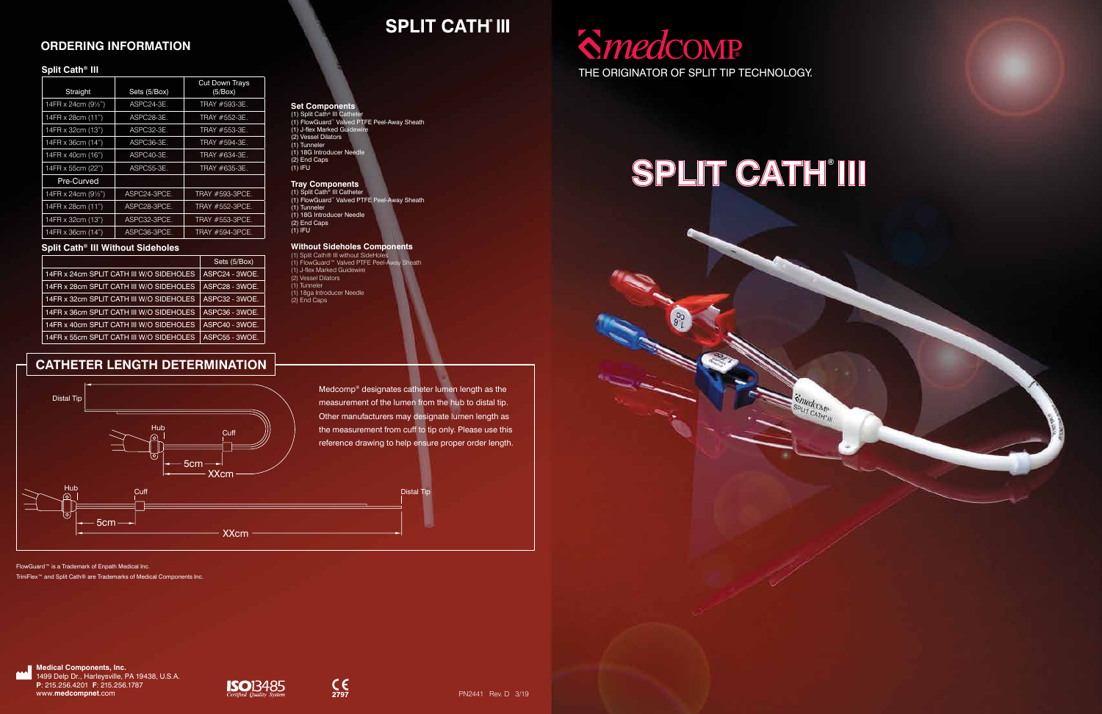#### THE ORIGINATOR OF SPLIT TIP TECHNOLOGY.

# **SPLIT CATH'III**





#### **ORDERING INFORMATION**

### **CATHETER LENGTH DETERMINATION**

Medcomp® designates catheter lumen length as the measurement of the lumen from the hub to distal tip. Other manufacturers may designate lumen length as the measurement from cuff to tip only. Please use this reference drawing to help ensure proper order length.

**SPLIT CATH' III** 



(1) Split Cath® III without SideHo (1) FlowGuard™ Valved PTFE Peel-Away Sheath (1) J-flex Marked Guidewire (2) Vessel Dilators (1) Tunneler (1) 18ga Introducer Needle (2) End Caps

#### **Set Components** (1) Split Cath® III Catheter (1) FlowGuard™ Valved PTFE Peel-Away Sheath (1) J-flex Marked Guidewire (2) Vessel Dilators

(1) Tunneler (1) 18G Introducer Needle (2) End Caps (1) IFU

#### **Tray Components**

(1) Split Cath® III Catheter (1) FlowGuard™ Valved PTFE Peel-Away Sheath (1) Tunneler (1) 18G Introducer Needle (2) End Caps (1) IFU

#### **Without Sideholes Components**

FlowGuard™ is a Trademark of Enpath Medical Inc.

TriniFlex™ and Split Cath® are Trademarks of Medical Components Inc.

#### **Split Cath® III**

| Straight            | Sets (5/Box) | <b>Cut Down Trays</b><br>(5/Box) |
|---------------------|--------------|----------------------------------|
| 14FR x 24cm (91/2") | ASPC24-3E.   | TRAY #593-3E.                    |
| 14FR x 28cm (11")   | ASPC28-3E.   | TRAY #552-3E.                    |
| 14FR x 32cm (13")   | ASPC32-3E.   | TRAY #553-3E.                    |
| 14FR x 36cm (14")   | ASPC36-3E.   | TRAY #594-3E.                    |
| 14FR x 40cm (16")   | ASPC40-3E.   | TRAY #634-3E.                    |
| 14FR x 55cm (22")   | ASPC55-3E.   | TRAY #635-3E.                    |
| Pre-Curved          |              |                                  |
| 14FR x 24cm (91/2") | ASPC24-3PCE. | TRAY #593-3PCE.                  |
| 14FR x 28cm (11")   | ASPC28-3PCE. | TRAY #552-3PCE.                  |
| 14FR x 32cm (13")   | ASPC32-3PCE. | TRAY #553-3PCE.                  |
| 14FR x 36cm (14")   | ASPC36-3PCE. | TRAY #594-3PCE.                  |

#### **Split Cath® III Without Sideholes**

|                                          | Sets (5/Box)   |
|------------------------------------------|----------------|
| 14FR x 24cm SPLIT CATH III W/O SIDEHOLES | ASPC24 - 3WOE. |
| 14FR x 28cm SPLIT CATH III W/O SIDEHOLES | ASPC28 - 3WOE. |
| 14FR x 32cm SPLIT CATH III W/O SIDEHOLES | ASPC32 - 3WOE. |
| 14FR x 36cm SPLIT CATH III W/O SIDEHOLES | ASPC36 - 3WOE. |
| 14FR x 40cm SPLIT CATH III W/O SIDEHOLES | ASPC40 - 3WOE. |
| 14FR x 55cm SPLIT CATH III W/O SIDEHOLES | ASPC55 - 3WOE. |

**Medical Components, Inc.**





 $C_{2797}$ 

**P**: 215.256.4201 **F**: 215.256.1787 www.**medcompnet**.com